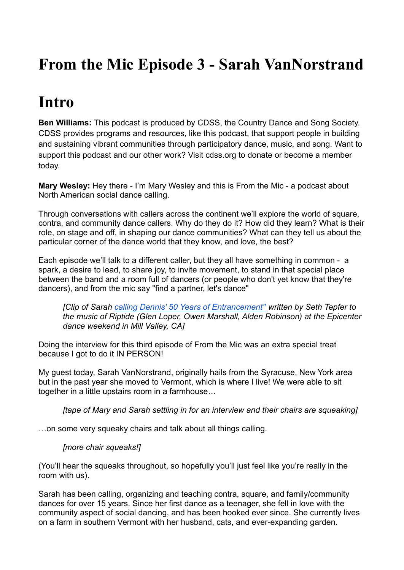# **From the Mic Episode 3 - Sarah VanNorstrand**

## **Intro**

**Ben Williams:** This podcast is produced by CDSS, the Country Dance and Song Society. CDSS provides programs and resources, like this podcast, that support people in building and sustaining vibrant communities through participatory dance, music, and song. Want to support this podcast and our other work? Visit cdss.org to donate or become a member today.

**Mary Wesley:** Hey there - I'm Mary Wesley and this is From the Mic - a podcast about North American social dance calling.

Through conversations with callers across the continent we'll explore the world of square, contra, and community dance callers. Why do they do it? How did they learn? What is their role, on stage and off, in shaping our dance communities? What can they tell us about the particular corner of the dance world that they know, and love, the best?

Each episode we'll talk to a different caller, but they all have something in common - a spark, a desire to lead, to share joy, to invite movement, to stand in that special place between the band and a room full of dancers (or people who don't yet know that they're dancers), and from the mic say "find a partner, let's dance"

*[Clip of Sarah [calling Dennis' 50 Years of Entrancement"](https://www.youtube.com/watch?v=-vgbyhu5BVo) written by Seth Tepfer to the music of Riptide (Glen Loper, Owen Marshall, Alden Robinson) at the Epicenter dance weekend in Mill Valley, CA]*

Doing the interview for this third episode of From the Mic was an extra special treat because I got to do it IN PERSON!

My guest today, Sarah VanNorstrand, originally hails from the Syracuse, New York area but in the past year she moved to Vermont, which is where I live! We were able to sit together in a little upstairs room in a farmhouse…

*[tape of Mary and Sarah settling in for an interview and their chairs are squeaking]*

…on some very squeaky chairs and talk about all things calling.

### *[more chair squeaks!]*

(You'll hear the squeaks throughout, so hopefully you'll just feel like you're really in the room with us).

Sarah has been calling, organizing and teaching contra, square, and family/community dances for over 15 years. Since her first dance as a teenager, she fell in love with the community aspect of social dancing, and has been hooked ever since. She currently lives on a farm in southern Vermont with her husband, cats, and ever-expanding garden.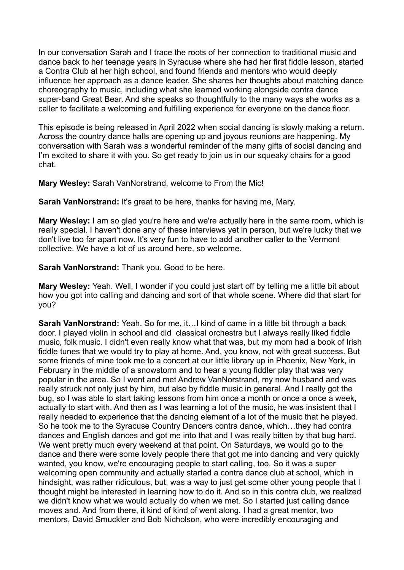In our conversation Sarah and I trace the roots of her connection to traditional music and dance back to her teenage years in Syracuse where she had her first fiddle lesson, started a Contra Club at her high school, and found friends and mentors who would deeply influence her approach as a dance leader. She shares her thoughts about matching dance choreography to music, including what she learned working alongside contra dance super-band Great Bear. And she speaks so thoughtfully to the many ways she works as a caller to facilitate a welcoming and fulfilling experience for everyone on the dance floor.

This episode is being released in April 2022 when social dancing is slowly making a return. Across the country dance halls are opening up and joyous reunions are happening. My conversation with Sarah was a wonderful reminder of the many gifts of social dancing and I'm excited to share it with you. So get ready to join us in our squeaky chairs for a good chat.

**Mary Wesley:** Sarah VanNorstrand, welcome to From the Mic!

**Sarah VanNorstrand:** It's great to be here, thanks for having me, Mary.

**Mary Wesley:** I am so glad you're here and we're actually here in the same room, which is really special. I haven't done any of these interviews yet in person, but we're lucky that we don't live too far apart now. It's very fun to have to add another caller to the Vermont collective. We have a lot of us around here, so welcome.

**Sarah VanNorstrand:** Thank you. Good to be here.

**Mary Wesley:** Yeah. Well, I wonder if you could just start off by telling me a little bit about how you got into calling and dancing and sort of that whole scene. Where did that start for you?

**Sarah VanNorstrand:** Yeah. So for me, it…I kind of came in a little bit through a back door. I played violin in school and did classical orchestra but I always really liked fiddle music, folk music. I didn't even really know what that was, but my mom had a book of Irish fiddle tunes that we would try to play at home. And, you know, not with great success. But some friends of mine took me to a concert at our little library up in Phoenix, New York, in February in the middle of a snowstorm and to hear a young fiddler play that was very popular in the area. So I went and met Andrew VanNorstrand, my now husband and was really struck not only just by him, but also by fiddle music in general. And I really got the bug, so I was able to start taking lessons from him once a month or once a once a week, actually to start with. And then as I was learning a lot of the music, he was insistent that I really needed to experience that the dancing element of a lot of the music that he played. So he took me to the Syracuse Country Dancers contra dance, which…they had contra dances and English dances and got me into that and I was really bitten by that bug hard. We went pretty much every weekend at that point. On Saturdays, we would go to the dance and there were some lovely people there that got me into dancing and very quickly wanted, you know, we're encouraging people to start calling, too. So it was a super welcoming open community and actually started a contra dance club at school, which in hindsight, was rather ridiculous, but, was a way to just get some other young people that I thought might be interested in learning how to do it. And so in this contra club, we realized we didn't know what we would actually do when we met. So I started just calling dance moves and. And from there, it kind of kind of went along. I had a great mentor, two mentors, David Smuckler and Bob Nicholson, who were incredibly encouraging and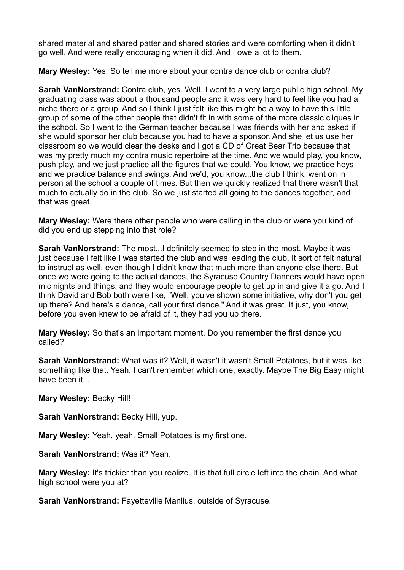shared material and shared patter and shared stories and were comforting when it didn't go well. And were really encouraging when it did. And I owe a lot to them.

**Mary Wesley:** Yes. So tell me more about your contra dance club or contra club?

**Sarah VanNorstrand:** Contra club, yes. Well, I went to a very large public high school. My graduating class was about a thousand people and it was very hard to feel like you had a niche there or a group. And so I think I just felt like this might be a way to have this little group of some of the other people that didn't fit in with some of the more classic cliques in the school. So I went to the German teacher because I was friends with her and asked if she would sponsor her club because you had to have a sponsor. And she let us use her classroom so we would clear the desks and I got a CD of Great Bear Trio because that was my pretty much my contra music repertoire at the time. And we would play, you know, push play, and we just practice all the figures that we could. You know, we practice heys and we practice balance and swings. And we'd, you know...the club I think, went on in person at the school a couple of times. But then we quickly realized that there wasn't that much to actually do in the club. So we just started all going to the dances together, and that was great.

**Mary Wesley:** Were there other people who were calling in the club or were you kind of did you end up stepping into that role?

**Sarah VanNorstrand:** The most...I definitely seemed to step in the most. Maybe it was just because I felt like I was started the club and was leading the club. It sort of felt natural to instruct as well, even though I didn't know that much more than anyone else there. But once we were going to the actual dances, the Syracuse Country Dancers would have open mic nights and things, and they would encourage people to get up in and give it a go. And I think David and Bob both were like, "Well, you've shown some initiative, why don't you get up there? And here's a dance, call your first dance." And it was great. It just, you know, before you even knew to be afraid of it, they had you up there.

**Mary Wesley:** So that's an important moment. Do you remember the first dance you called?

**Sarah VanNorstrand:** What was it? Well, it wasn't it wasn't Small Potatoes, but it was like something like that. Yeah, I can't remember which one, exactly. Maybe The Big Easy might have been it...

**Mary Wesley:** Becky Hill!

**Sarah VanNorstrand:** Becky Hill, yup.

**Mary Wesley:** Yeah, yeah. Small Potatoes is my first one.

**Sarah VanNorstrand:** Was it? Yeah.

**Mary Wesley:** It's trickier than you realize. It is that full circle left into the chain. And what high school were you at?

**Sarah VanNorstrand:** Fayetteville Manlius, outside of Syracuse.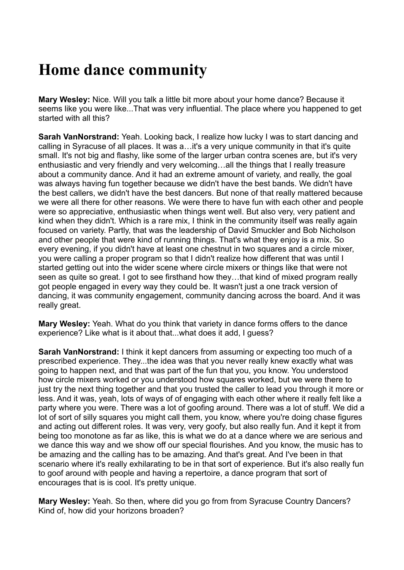## **Home dance community**

**Mary Wesley:** Nice. Will you talk a little bit more about your home dance? Because it seems like you were like...That was very influential. The place where you happened to get started with all this?

**Sarah VanNorstrand:** Yeah. Looking back, I realize how lucky I was to start dancing and calling in Syracuse of all places. It was a…it's a very unique community in that it's quite small. It's not big and flashy, like some of the larger urban contra scenes are, but it's very enthusiastic and very friendly and very welcoming…all the things that I really treasure about a community dance. And it had an extreme amount of variety, and really, the goal was always having fun together because we didn't have the best bands. We didn't have the best callers, we didn't have the best dancers. But none of that really mattered because we were all there for other reasons. We were there to have fun with each other and people were so appreciative, enthusiastic when things went well. But also very, very patient and kind when they didn't. Which is a rare mix, I think in the community itself was really again focused on variety. Partly, that was the leadership of David Smuckler and Bob Nicholson and other people that were kind of running things. That's what they enjoy is a mix. So every evening, if you didn't have at least one chestnut in two squares and a circle mixer, you were calling a proper program so that I didn't realize how different that was until I started getting out into the wider scene where circle mixers or things like that were not seen as quite so great. I got to see firsthand how they…that kind of mixed program really got people engaged in every way they could be. It wasn't just a one track version of dancing, it was community engagement, community dancing across the board. And it was really great.

**Mary Wesley:** Yeah. What do you think that variety in dance forms offers to the dance experience? Like what is it about that...what does it add, I guess?

**Sarah VanNorstrand:** I think it kept dancers from assuming or expecting too much of a prescribed experience. They...the idea was that you never really knew exactly what was going to happen next, and that was part of the fun that you, you know. You understood how circle mixers worked or you understood how squares worked, but we were there to just try the next thing together and that you trusted the caller to lead you through it more or less. And it was, yeah, lots of ways of of engaging with each other where it really felt like a party where you were. There was a lot of goofing around. There was a lot of stuff. We did a lot of sort of silly squares you might call them, you know, where you're doing chase figures and acting out different roles. It was very, very goofy, but also really fun. And it kept it from being too monotone as far as like, this is what we do at a dance where we are serious and we dance this way and we show off our special flourishes. And you know, the music has to be amazing and the calling has to be amazing. And that's great. And I've been in that scenario where it's really exhilarating to be in that sort of experience. But it's also really fun to goof around with people and having a repertoire, a dance program that sort of encourages that is is cool. It's pretty unique.

**Mary Wesley:** Yeah. So then, where did you go from from Syracuse Country Dancers? Kind of, how did your horizons broaden?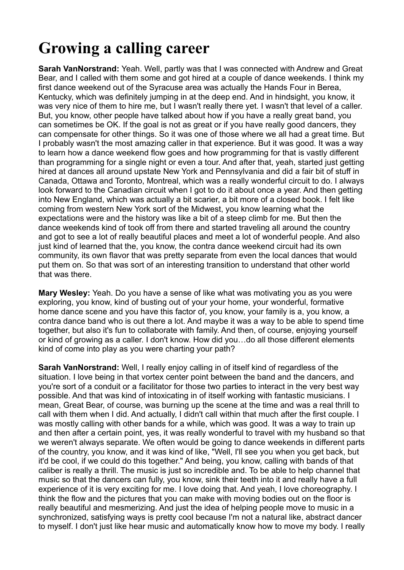# **Growing a calling career**

**Sarah VanNorstrand:** Yeah. Well, partly was that I was connected with Andrew and Great Bear, and I called with them some and got hired at a couple of dance weekends. I think my first dance weekend out of the Syracuse area was actually the Hands Four in Berea, Kentucky, which was definitely jumping in at the deep end. And in hindsight, you know, it was very nice of them to hire me, but I wasn't really there yet. I wasn't that level of a caller. But, you know, other people have talked about how if you have a really great band, you can sometimes be OK. If the goal is not as great or if you have really good dancers, they can compensate for other things. So it was one of those where we all had a great time. But I probably wasn't the most amazing caller in that experience. But it was good. It was a way to learn how a dance weekend flow goes and how programming for that is vastly different than programming for a single night or even a tour. And after that, yeah, started just getting hired at dances all around upstate New York and Pennsylvania and did a fair bit of stuff in Canada, Ottawa and Toronto, Montreal, which was a really wonderful circuit to do. I always look forward to the Canadian circuit when I got to do it about once a year. And then getting into New England, which was actually a bit scarier, a bit more of a closed book. I felt like coming from western New York sort of the Midwest, you know learning what the expectations were and the history was like a bit of a steep climb for me. But then the dance weekends kind of took off from there and started traveling all around the country and got to see a lot of really beautiful places and meet a lot of wonderful people. And also just kind of learned that the, you know, the contra dance weekend circuit had its own community, its own flavor that was pretty separate from even the local dances that would put them on. So that was sort of an interesting transition to understand that other world that was there.

**Mary Wesley:** Yeah. Do you have a sense of like what was motivating you as you were exploring, you know, kind of busting out of your your home, your wonderful, formative home dance scene and you have this factor of, you know, your family is a, you know, a contra dance band who is out there a lot. And maybe it was a way to be able to spend time together, but also it's fun to collaborate with family. And then, of course, enjoying yourself or kind of growing as a caller. I don't know. How did you…do all those different elements kind of come into play as you were charting your path?

**Sarah VanNorstrand:** Well, I really enjoy calling in of itself kind of regardless of the situation. I love being in that vortex center point between the band and the dancers, and you're sort of a conduit or a facilitator for those two parties to interact in the very best way possible. And that was kind of intoxicating in of itself working with fantastic musicians. I mean, Great Bear, of course, was burning up the scene at the time and was a real thrill to call with them when I did. And actually, I didn't call within that much after the first couple. I was mostly calling with other bands for a while, which was good. It was a way to train up and then after a certain point, yes, it was really wonderful to travel with my husband so that we weren't always separate. We often would be going to dance weekends in different parts of the country, you know, and it was kind of like, "Well, I'll see you when you get back, but it'd be cool, if we could do this together." And being, you know, calling with bands of that caliber is really a thrill. The music is just so incredible and. To be able to help channel that music so that the dancers can fully, you know, sink their teeth into it and really have a full experience of it is very exciting for me. I love doing that. And yeah, I love choreography. I think the flow and the pictures that you can make with moving bodies out on the floor is really beautiful and mesmerizing. And just the idea of helping people move to music in a synchronized, satisfying ways is pretty cool because I'm not a natural like, abstract dancer to myself. I don't just like hear music and automatically know how to move my body. I really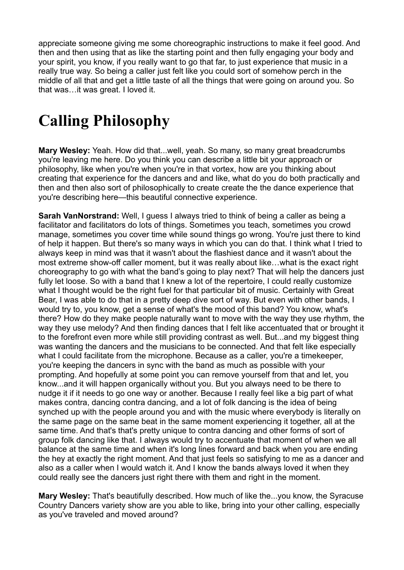appreciate someone giving me some choreographic instructions to make it feel good. And then and then using that as like the starting point and then fully engaging your body and your spirit, you know, if you really want to go that far, to just experience that music in a really true way. So being a caller just felt like you could sort of somehow perch in the middle of all that and get a little taste of all the things that were going on around you. So that was…it was great. I loved it.

# **Calling Philosophy**

**Mary Wesley:** Yeah. How did that...well, yeah. So many, so many great breadcrumbs you're leaving me here. Do you think you can describe a little bit your approach or philosophy, like when you're when you're in that vortex, how are you thinking about creating that experience for the dancers and and like, what do you do both practically and then and then also sort of philosophically to create create the the dance experience that you're describing here—this beautiful connective experience.

**Sarah VanNorstrand:** Well, I guess I always tried to think of being a caller as being a facilitator and facilitators do lots of things. Sometimes you teach, sometimes you crowd manage, sometimes you cover time while sound things go wrong. You're just there to kind of help it happen. But there's so many ways in which you can do that. I think what I tried to always keep in mind was that it wasn't about the flashiest dance and it wasn't about the most extreme show-off caller moment, but it was really about like…what is the exact right choreography to go with what the band's going to play next? That will help the dancers just fully let loose. So with a band that I knew a lot of the repertoire, I could really customize what I thought would be the right fuel for that particular bit of music. Certainly with Great Bear, I was able to do that in a pretty deep dive sort of way. But even with other bands, I would try to, you know, get a sense of what's the mood of this band? You know, what's there? How do they make people naturally want to move with the way they use rhythm, the way they use melody? And then finding dances that I felt like accentuated that or brought it to the forefront even more while still providing contrast as well. But...and my biggest thing was wanting the dancers and the musicians to be connected. And that felt like especially what I could facilitate from the microphone. Because as a caller, you're a timekeeper, you're keeping the dancers in sync with the band as much as possible with your prompting. And hopefully at some point you can remove yourself from that and let, you know...and it will happen organically without you. But you always need to be there to nudge it if it needs to go one way or another. Because I really feel like a big part of what makes contra, dancing contra dancing, and a lot of folk dancing is the idea of being synched up with the people around you and with the music where everybody is literally on the same page on the same beat in the same moment experiencing it together, all at the same time. And that's that's pretty unique to contra dancing and other forms of sort of group folk dancing like that. I always would try to accentuate that moment of when we all balance at the same time and when it's long lines forward and back when you are ending the hey at exactly the right moment. And that just feels so satisfying to me as a dancer and also as a caller when I would watch it. And I know the bands always loved it when they could really see the dancers just right there with them and right in the moment.

**Mary Wesley:** That's beautifully described. How much of like the...you know, the Syracuse Country Dancers variety show are you able to like, bring into your other calling, especially as you've traveled and moved around?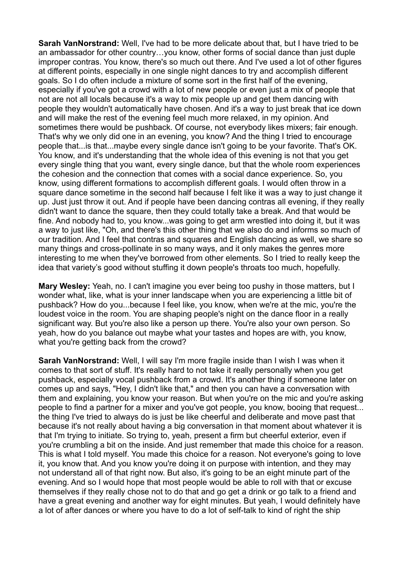**Sarah VanNorstrand:** Well, I've had to be more delicate about that, but I have tried to be an ambassador for other country…you know, other forms of social dance than just duple improper contras. You know, there's so much out there. And I've used a lot of other figures at different points, especially in one single night dances to try and accomplish different goals. So I do often include a mixture of some sort in the first half of the evening, especially if you've got a crowd with a lot of new people or even just a mix of people that not are not all locals because it's a way to mix people up and get them dancing with people they wouldn't automatically have chosen. And it's a way to just break that ice down and will make the rest of the evening feel much more relaxed, in my opinion. And sometimes there would be pushback. Of course, not everybody likes mixers; fair enough. That's why we only did one in an evening, you know? And the thing I tried to encourage people that...is that...maybe every single dance isn't going to be your favorite. That's OK. You know, and it's understanding that the whole idea of this evening is not that you get every single thing that you want, every single dance, but that the whole room experiences the cohesion and the connection that comes with a social dance experience. So, you know, using different formations to accomplish different goals. I would often throw in a square dance sometime in the second half because I felt like it was a way to just change it up. Just just throw it out. And if people have been dancing contras all evening, if they really didn't want to dance the square, then they could totally take a break. And that would be fine. And nobody had to, you know...was going to get arm wrestled into doing it, but it was a way to just like, "Oh, and there's this other thing that we also do and informs so much of our tradition. And I feel that contras and squares and English dancing as well, we share so many things and cross-pollinate in so many ways, and it only makes the genres more interesting to me when they've borrowed from other elements. So I tried to really keep the idea that variety's good without stuffing it down people's throats too much, hopefully.

**Mary Wesley:** Yeah, no. I can't imagine you ever being too pushy in those matters, but I wonder what, like, what is your inner landscape when you are experiencing a little bit of pushback? How do you...because I feel like, you know, when we're at the mic, you're the loudest voice in the room. You are shaping people's night on the dance floor in a really significant way. But you're also like a person up there. You're also your own person. So yeah, how do you balance out maybe what your tastes and hopes are with, you know, what you're getting back from the crowd?

**Sarah VanNorstrand:** Well, I will say I'm more fragile inside than I wish I was when it comes to that sort of stuff. It's really hard to not take it really personally when you get pushback, especially vocal pushback from a crowd. It's another thing if someone later on comes up and says, "Hey, I didn't like that," and then you can have a conversation with them and explaining, you know your reason. But when you're on the mic and you're asking people to find a partner for a mixer and you've got people, you know, booing that request... the thing I've tried to always do is just be like cheerful and deliberate and move past that because it's not really about having a big conversation in that moment about whatever it is that I'm trying to initiate. So trying to, yeah, present a firm but cheerful exterior, even if you're crumbling a bit on the inside. And just remember that made this choice for a reason. This is what I told myself. You made this choice for a reason. Not everyone's going to love it, you know that. And you know you're doing it on purpose with intention, and they may not understand all of that right now. But also, it's going to be an eight minute part of the evening. And so I would hope that most people would be able to roll with that or excuse themselves if they really chose not to do that and go get a drink or go talk to a friend and have a great evening and another way for eight minutes. But yeah, I would definitely have a lot of after dances or where you have to do a lot of self-talk to kind of right the ship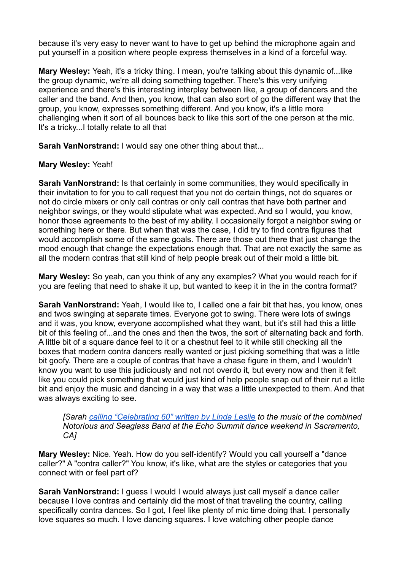because it's very easy to never want to have to get up behind the microphone again and put yourself in a position where people express themselves in a kind of a forceful way.

**Mary Wesley:** Yeah, it's a tricky thing. I mean, you're talking about this dynamic of...like the group dynamic, we're all doing something together. There's this very unifying experience and there's this interesting interplay between like, a group of dancers and the caller and the band. And then, you know, that can also sort of go the different way that the group, you know, expresses something different. And you know, it's a little more challenging when it sort of all bounces back to like this sort of the one person at the mic. It's a tricky...I totally relate to all that

**Sarah VanNorstrand:** I would say one other thing about that...

### **Mary Wesley:** Yeah!

**Sarah VanNorstrand:** Is that certainly in some communities, they would specifically in their invitation to for you to call request that you not do certain things, not do squares or not do circle mixers or only call contras or only call contras that have both partner and neighbor swings, or they would stipulate what was expected. And so I would, you know, honor those agreements to the best of my ability. I occasionally forgot a neighbor swing or something here or there. But when that was the case, I did try to find contra figures that would accomplish some of the same goals. There are those out there that just change the mood enough that change the expectations enough that. That are not exactly the same as all the modern contras that still kind of help people break out of their mold a little bit.

**Mary Wesley:** So yeah, can you think of any any examples? What you would reach for if you are feeling that need to shake it up, but wanted to keep it in the in the contra format?

**Sarah VanNorstrand:** Yeah, I would like to, I called one a fair bit that has, you know, ones and twos swinging at separate times. Everyone got to swing. There were lots of swings and it was, you know, everyone accomplished what they want, but it's still had this a little bit of this feeling of...and the ones and then the twos, the sort of alternating back and forth. A little bit of a square dance feel to it or a chestnut feel to it while still checking all the boxes that modern contra dancers really wanted or just picking something that was a little bit goofy. There are a couple of contras that have a chase figure in them, and I wouldn't know you want to use this judiciously and not not overdo it, but every now and then it felt like you could pick something that would just kind of help people snap out of their rut a little bit and enjoy the music and dancing in a way that was a little unexpected to them. And that was always exciting to see.

*[Sarah [calling "Celebrating 60" written by Linda Leslie](https://www.youtube.com/watch?v=yU39u74qXqQ) to the music of the combined Notorious and Seaglass Band at the Echo Summit dance weekend in Sacramento, CA]*

**Mary Wesley:** Nice. Yeah. How do you self-identify? Would you call yourself a "dance caller?" A "contra caller?" You know, it's like, what are the styles or categories that you connect with or feel part of?

**Sarah VanNorstrand:** I guess I would I would always just call myself a dance caller because I love contras and certainly did the most of that traveling the country, calling specifically contra dances. So I got, I feel like plenty of mic time doing that. I personally love squares so much. I love dancing squares. I love watching other people dance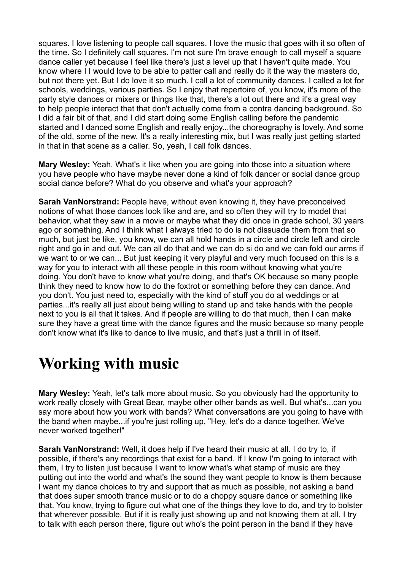squares. I love listening to people call squares. I love the music that goes with it so often of the time. So I definitely call squares. I'm not sure I'm brave enough to call myself a square dance caller yet because I feel like there's just a level up that I haven't quite made. You know where I I would love to be able to patter call and really do it the way the masters do, but not there yet. But I do love it so much. I call a lot of community dances. I called a lot for schools, weddings, various parties. So I enjoy that repertoire of, you know, it's more of the party style dances or mixers or things like that, there's a lot out there and it's a great way to help people interact that that don't actually come from a contra dancing background. So I did a fair bit of that, and I did start doing some English calling before the pandemic started and I danced some English and really enjoy...the choreography is lovely. And some of the old, some of the new. It's a really interesting mix, but I was really just getting started in that in that scene as a caller. So, yeah, I call folk dances.

**Mary Wesley:** Yeah. What's it like when you are going into those into a situation where you have people who have maybe never done a kind of folk dancer or social dance group social dance before? What do you observe and what's your approach?

**Sarah VanNorstrand:** People have, without even knowing it, they have preconceived notions of what those dances look like and are, and so often they will try to model that behavior, what they saw in a movie or maybe what they did once in grade school, 30 years ago or something. And I think what I always tried to do is not dissuade them from that so much, but just be like, you know, we can all hold hands in a circle and circle left and circle right and go in and out. We can all do that and we can do si do and we can fold our arms if we want to or we can... But just keeping it very playful and very much focused on this is a way for you to interact with all these people in this room without knowing what you're doing. You don't have to know what you're doing, and that's OK because so many people think they need to know how to do the foxtrot or something before they can dance. And you don't. You just need to, especially with the kind of stuff you do at weddings or at parties...it's really all just about being willing to stand up and take hands with the people next to you is all that it takes. And if people are willing to do that much, then I can make sure they have a great time with the dance figures and the music because so many people don't know what it's like to dance to live music, and that's just a thrill in of itself.

### **Working with music**

**Mary Wesley:** Yeah, let's talk more about music. So you obviously had the opportunity to work really closely with Great Bear, maybe other other bands as well. But what's...can you say more about how you work with bands? What conversations are you going to have with the band when maybe...if you're just rolling up, "Hey, let's do a dance together. We've never worked together!"

**Sarah VanNorstrand:** Well, it does help if I've heard their music at all. I do try to, if possible, if there's any recordings that exist for a band. If I know I'm going to interact with them, I try to listen just because I want to know what's what stamp of music are they putting out into the world and what's the sound they want people to know is them because I want my dance choices to try and support that as much as possible, not asking a band that does super smooth trance music or to do a choppy square dance or something like that. You know, trying to figure out what one of the things they love to do, and try to bolster that wherever possible. But if it is really just showing up and not knowing them at all, I try to talk with each person there, figure out who's the point person in the band if they have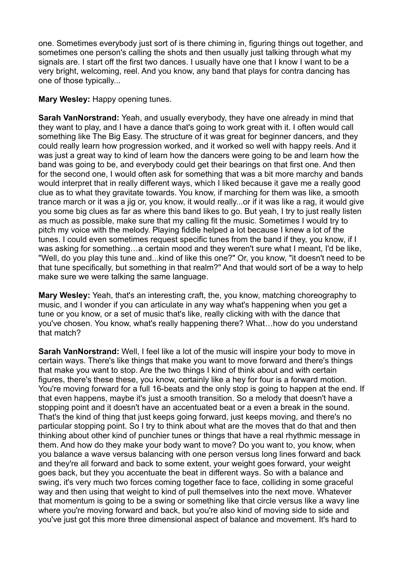one. Sometimes everybody just sort of is there chiming in, figuring things out together, and sometimes one person's calling the shots and then usually just talking through what my signals are. I start off the first two dances. I usually have one that I know I want to be a very bright, welcoming, reel. And you know, any band that plays for contra dancing has one of those typically...

**Mary Wesley:** Happy opening tunes.

**Sarah VanNorstrand:** Yeah, and usually everybody, they have one already in mind that they want to play, and I have a dance that's going to work great with it. I often would call something like The Big Easy. The structure of it was great for beginner dancers, and they could really learn how progression worked, and it worked so well with happy reels. And it was just a great way to kind of learn how the dancers were going to be and learn how the band was going to be, and everybody could get their bearings on that first one. And then for the second one, I would often ask for something that was a bit more marchy and bands would interpret that in really different ways, which I liked because it gave me a really good clue as to what they gravitate towards. You know, if marching for them was like, a smooth trance march or it was a jig or, you know, it would really...or if it was like a rag, it would give you some big clues as far as where this band likes to go. But yeah, I try to just really listen as much as possible, make sure that my calling fit the music. Sometimes I would try to pitch my voice with the melody. Playing fiddle helped a lot because I knew a lot of the tunes. I could even sometimes request specific tunes from the band if they, you know, if I was asking for something…a certain mood and they weren't sure what I meant, I'd be like, "Well, do you play this tune and...kind of like this one?" Or, you know, "it doesn't need to be that tune specifically, but something in that realm?" And that would sort of be a way to help make sure we were talking the same language.

**Mary Wesley:** Yeah, that's an interesting craft, the, you know, matching choreography to music, and I wonder if you can articulate in any way what's happening when you get a tune or you know, or a set of music that's like, really clicking with with the dance that you've chosen. You know, what's really happening there? What…how do you understand that match?

**Sarah VanNorstrand:** Well, I feel like a lot of the music will inspire your body to move in certain ways. There's like things that make you want to move forward and there's things that make you want to stop. Are the two things I kind of think about and with certain figures, there's these these, you know, certainly like a hey for four is a forward motion. You're moving forward for a full 16-beats and the only stop is going to happen at the end. If that even happens, maybe it's just a smooth transition. So a melody that doesn't have a stopping point and it doesn't have an accentuated beat or a even a break in the sound. That's the kind of thing that just keeps going forward, just keeps moving, and there's no particular stopping point. So I try to think about what are the moves that do that and then thinking about other kind of punchier tunes or things that have a real rhythmic message in them. And how do they make your body want to move? Do you want to, you know, when you balance a wave versus balancing with one person versus long lines forward and back and they're all forward and back to some extent, your weight goes forward, your weight goes back, but they you accentuate the beat in different ways. So with a balance and swing, it's very much two forces coming together face to face, colliding in some graceful way and then using that weight to kind of pull themselves into the next move. Whatever that momentum is going to be a swing or something like that circle versus like a wavy line where you're moving forward and back, but you're also kind of moving side to side and you've just got this more three dimensional aspect of balance and movement. It's hard to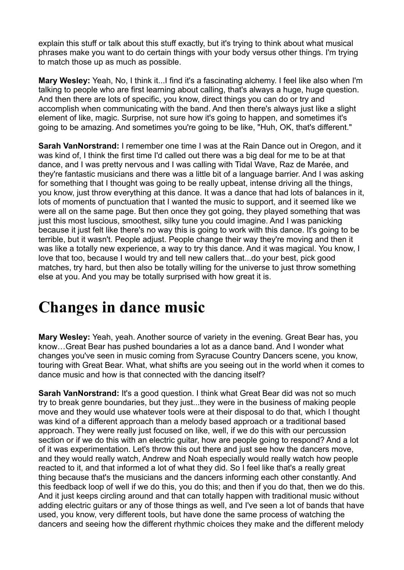explain this stuff or talk about this stuff exactly, but it's trying to think about what musical phrases make you want to do certain things with your body versus other things. I'm trying to match those up as much as possible.

**Mary Wesley:** Yeah, No, I think it...I find it's a fascinating alchemy. I feel like also when I'm talking to people who are first learning about calling, that's always a huge, huge question. And then there are lots of specific, you know, direct things you can do or try and accomplish when communicating with the band. And then there's always just like a slight element of like, magic. Surprise, not sure how it's going to happen, and sometimes it's going to be amazing. And sometimes you're going to be like, "Huh, OK, that's different."

**Sarah VanNorstrand:** I remember one time I was at the Rain Dance out in Oregon, and it was kind of, I think the first time I'd called out there was a big deal for me to be at that dance, and I was pretty nervous and I was calling with Tidal Wave, Raz de Marée, and they're fantastic musicians and there was a little bit of a language barrier. And I was asking for something that I thought was going to be really upbeat, intense driving all the things, you know, just throw everything at this dance. It was a dance that had lots of balances in it, lots of moments of punctuation that I wanted the music to support, and it seemed like we were all on the same page. But then once they got going, they played something that was just this most luscious, smoothest, silky tune you could imagine. And I was panicking because it just felt like there's no way this is going to work with this dance. It's going to be terrible, but it wasn't. People adjust. People change their way they're moving and then it was like a totally new experience, a way to try this dance. And it was magical. You know, I love that too, because I would try and tell new callers that...do your best, pick good matches, try hard, but then also be totally willing for the universe to just throw something else at you. And you may be totally surprised with how great it is.

## **Changes in dance music**

**Mary Wesley:** Yeah, yeah. Another source of variety in the evening. Great Bear has, you know…Great Bear has pushed boundaries a lot as a dance band. And I wonder what changes you've seen in music coming from Syracuse Country Dancers scene, you know, touring with Great Bear. What, what shifts are you seeing out in the world when it comes to dance music and how is that connected with the dancing itself?

**Sarah VanNorstrand:** It's a good question. I think what Great Bear did was not so much try to break genre boundaries, but they just...they were in the business of making people move and they would use whatever tools were at their disposal to do that, which I thought was kind of a different approach than a melody based approach or a traditional based approach. They were really just focused on like, well, if we do this with our percussion section or if we do this with an electric guitar, how are people going to respond? And a lot of it was experimentation. Let's throw this out there and just see how the dancers move, and they would really watch, Andrew and Noah especially would really watch how people reacted to it, and that informed a lot of what they did. So I feel like that's a really great thing because that's the musicians and the dancers informing each other constantly. And this feedback loop of well if we do this, you do this; and then if you do that, then we do this. And it just keeps circling around and that can totally happen with traditional music without adding electric guitars or any of those things as well, and I've seen a lot of bands that have used, you know, very different tools, but have done the same process of watching the dancers and seeing how the different rhythmic choices they make and the different melody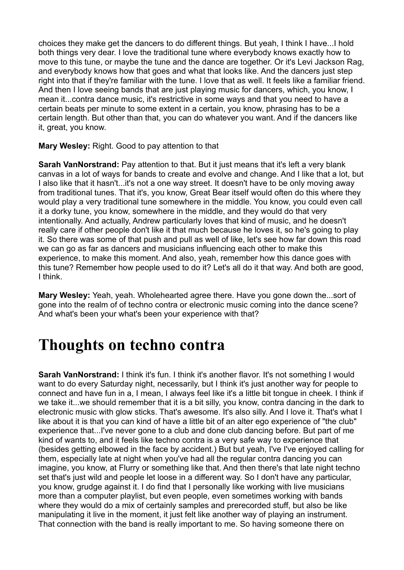choices they make get the dancers to do different things. But yeah, I think I have...I hold both things very dear. I love the traditional tune where everybody knows exactly how to move to this tune, or maybe the tune and the dance are together. Or it's Levi Jackson Rag, and everybody knows how that goes and what that looks like. And the dancers just step right into that if they're familiar with the tune. I love that as well. It feels like a familiar friend. And then I love seeing bands that are just playing music for dancers, which, you know, I mean it...contra dance music, it's restrictive in some ways and that you need to have a certain beats per minute to some extent in a certain, you know, phrasing has to be a certain length. But other than that, you can do whatever you want. And if the dancers like it, great, you know.

**Mary Wesley:** Right. Good to pay attention to that

**Sarah VanNorstrand:** Pay attention to that. But it just means that it's left a very blank canvas in a lot of ways for bands to create and evolve and change. And I like that a lot, but I also like that it hasn't...it's not a one way street. It doesn't have to be only moving away from traditional tunes. That it's, you know, Great Bear itself would often do this where they would play a very traditional tune somewhere in the middle. You know, you could even call it a dorky tune, you know, somewhere in the middle, and they would do that very intentionally. And actually, Andrew particularly loves that kind of music, and he doesn't really care if other people don't like it that much because he loves it, so he's going to play it. So there was some of that push and pull as well of like, let's see how far down this road we can go as far as dancers and musicians influencing each other to make this experience, to make this moment. And also, yeah, remember how this dance goes with this tune? Remember how people used to do it? Let's all do it that way. And both are good, I think.

**Mary Wesley:** Yeah, yeah. Wholehearted agree there. Have you gone down the...sort of gone into the realm of of techno contra or electronic music coming into the dance scene? And what's been your what's been your experience with that?

### **Thoughts on techno contra**

**Sarah VanNorstrand:** I think it's fun. I think it's another flavor. It's not something I would want to do every Saturday night, necessarily, but I think it's just another way for people to connect and have fun in a, I mean, I always feel like it's a little bit tongue in cheek. I think if we take it...we should remember that it is a bit silly, you know, contra dancing in the dark to electronic music with glow sticks. That's awesome. It's also silly. And I love it. That's what I like about it is that you can kind of have a little bit of an alter ego experience of "the club" experience that...I've never gone to a club and done club dancing before. But part of me kind of wants to, and it feels like techno contra is a very safe way to experience that (besides getting elbowed in the face by accident.) But but yeah, I've I've enjoyed calling for them, especially late at night when you've had all the regular contra dancing you can imagine, you know, at Flurry or something like that. And then there's that late night techno set that's just wild and people let loose in a different way. So I don't have any particular, you know, grudge against it. I do find that I personally like working with live musicians more than a computer playlist, but even people, even sometimes working with bands where they would do a mix of certainly samples and prerecorded stuff, but also be like manipulating it live in the moment, it just felt like another way of playing an instrument. That connection with the band is really important to me. So having someone there on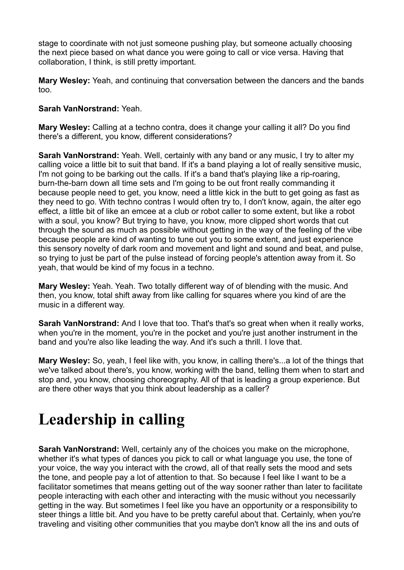stage to coordinate with not just someone pushing play, but someone actually choosing the next piece based on what dance you were going to call or vice versa. Having that collaboration, I think, is still pretty important.

**Mary Wesley:** Yeah, and continuing that conversation between the dancers and the bands too.

#### **Sarah VanNorstrand:** Yeah.

**Mary Wesley:** Calling at a techno contra, does it change your calling it all? Do you find there's a different, you know, different considerations?

**Sarah VanNorstrand:** Yeah. Well, certainly with any band or any music, I try to alter my calling voice a little bit to suit that band. If it's a band playing a lot of really sensitive music, I'm not going to be barking out the calls. If it's a band that's playing like a rip-roaring, burn-the-barn down all time sets and I'm going to be out front really commanding it because people need to get, you know, need a little kick in the butt to get going as fast as they need to go. With techno contras I would often try to, I don't know, again, the alter ego effect, a little bit of like an emcee at a club or robot caller to some extent, but like a robot with a soul, you know? But trying to have, you know, more clipped short words that cut through the sound as much as possible without getting in the way of the feeling of the vibe because people are kind of wanting to tune out you to some extent, and just experience this sensory novelty of dark room and movement and light and sound and beat, and pulse, so trying to just be part of the pulse instead of forcing people's attention away from it. So yeah, that would be kind of my focus in a techno.

**Mary Wesley:** Yeah. Yeah. Two totally different way of of blending with the music. And then, you know, total shift away from like calling for squares where you kind of are the music in a different way.

**Sarah VanNorstrand:** And I love that too. That's that's so great when when it really works, when you're in the moment, you're in the pocket and you're just another instrument in the band and you're also like leading the way. And it's such a thrill. I love that.

**Mary Wesley:** So, yeah, I feel like with, you know, in calling there's...a lot of the things that we've talked about there's, you know, working with the band, telling them when to start and stop and, you know, choosing choreography. All of that is leading a group experience. But are there other ways that you think about leadership as a caller?

# **Leadership in calling**

**Sarah VanNorstrand:** Well, certainly any of the choices you make on the microphone, whether it's what types of dances you pick to call or what language you use, the tone of your voice, the way you interact with the crowd, all of that really sets the mood and sets the tone, and people pay a lot of attention to that. So because I feel like I want to be a facilitator sometimes that means getting out of the way sooner rather than later to facilitate people interacting with each other and interacting with the music without you necessarily getting in the way. But sometimes I feel like you have an opportunity or a responsibility to steer things a little bit. And you have to be pretty careful about that. Certainly, when you're traveling and visiting other communities that you maybe don't know all the ins and outs of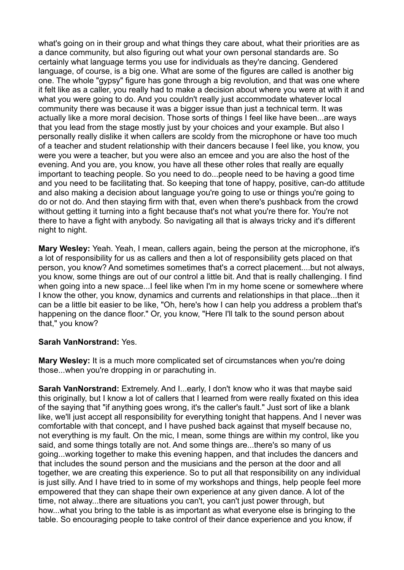what's going on in their group and what things they care about, what their priorities are as a dance community, but also figuring out what your own personal standards are. So certainly what language terms you use for individuals as they're dancing. Gendered language, of course, is a big one. What are some of the figures are called is another big one. The whole "gypsy" figure has gone through a big revolution, and that was one where it felt like as a caller, you really had to make a decision about where you were at with it and what you were going to do. And you couldn't really just accommodate whatever local community there was because it was a bigger issue than just a technical term. It was actually like a more moral decision. Those sorts of things I feel like have been...are ways that you lead from the stage mostly just by your choices and your example. But also I personally really dislike it when callers are scoldy from the microphone or have too much of a teacher and student relationship with their dancers because I feel like, you know, you were you were a teacher, but you were also an emcee and you are also the host of the evening. And you are, you know, you have all these other roles that really are equally important to teaching people. So you need to do...people need to be having a good time and you need to be facilitating that. So keeping that tone of happy, positive, can-do attitude and also making a decision about language you're going to use or things you're going to do or not do. And then staying firm with that, even when there's pushback from the crowd without getting it turning into a fight because that's not what you're there for. You're not there to have a fight with anybody. So navigating all that is always tricky and it's different night to night.

**Mary Wesley:** Yeah. Yeah, I mean, callers again, being the person at the microphone, it's a lot of responsibility for us as callers and then a lot of responsibility gets placed on that person, you know? And sometimes sometimes that's a correct placement....but not always, you know, some things are out of our control a little bit. And that is really challenging. I find when going into a new space...I feel like when I'm in my home scene or somewhere where I know the other, you know, dynamics and currents and relationships in that place...then it can be a little bit easier to be like, "Oh, here's how I can help you address a problem that's happening on the dance floor." Or, you know, "Here I'll talk to the sound person about that," you know?

#### **Sarah VanNorstrand:** Yes.

**Mary Wesley:** It is a much more complicated set of circumstances when you're doing those...when you're dropping in or parachuting in.

**Sarah VanNorstrand:** Extremely. And I...early, I don't know who it was that maybe said this originally, but I know a lot of callers that I learned from were really fixated on this idea of the saying that "if anything goes wrong, it's the caller's fault." Just sort of like a blank like, we'll just accept all responsibility for everything tonight that happens. And I never was comfortable with that concept, and I have pushed back against that myself because no, not everything is my fault. On the mic, I mean, some things are within my control, like you said, and some things totally are not. And some things are...there's so many of us going...working together to make this evening happen, and that includes the dancers and that includes the sound person and the musicians and the person at the door and all together, we are creating this experience. So to put all that responsibility on any individual is just silly. And I have tried to in some of my workshops and things, help people feel more empowered that they can shape their own experience at any given dance. A lot of the time, not alway...there are situations you can't, you can't just power through, but how...what you bring to the table is as important as what everyone else is bringing to the table. So encouraging people to take control of their dance experience and you know, if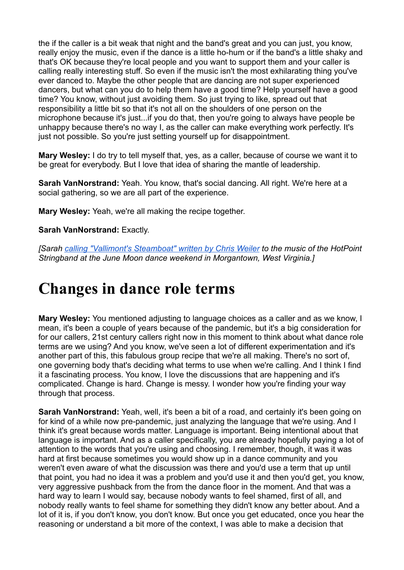the if the caller is a bit weak that night and the band's great and you can just, you know, really enjoy the music, even if the dance is a little ho-hum or if the band's a little shaky and that's OK because they're local people and you want to support them and your caller is calling really interesting stuff. So even if the music isn't the most exhilarating thing you've ever danced to. Maybe the other people that are dancing are not super experienced dancers, but what can you do to help them have a good time? Help yourself have a good time? You know, without just avoiding them. So just trying to like, spread out that responsibility a little bit so that it's not all on the shoulders of one person on the microphone because it's just...if you do that, then you're going to always have people be unhappy because there's no way I, as the caller can make everything work perfectly. It's just not possible. So you're just setting yourself up for disappointment.

**Mary Wesley:** I do try to tell myself that, yes, as a caller, because of course we want it to be great for everybody. But I love that idea of sharing the mantle of leadership.

**Sarah VanNorstrand:** Yeah. You know, that's social dancing. All right. We're here at a social gathering, so we are all part of the experience.

**Mary Wesley:** Yeah, we're all making the recipe together.

**Sarah VanNorstrand:** Exactly.

*[Sarah [calling "Vallimont's Steamboat" written by](https://www.youtube.com/watch?v=aUXHZj_iRTs) Chris Weiler to the music of the HotPoint Stringband at the June Moon dance weekend in Morgantown, West Virginia.]*

### **Changes in dance role terms**

**Mary Wesley:** You mentioned adjusting to language choices as a caller and as we know, I mean, it's been a couple of years because of the pandemic, but it's a big consideration for for our callers, 21st century callers right now in this moment to think about what dance role terms are we using? And you know, we've seen a lot of different experimentation and it's another part of this, this fabulous group recipe that we're all making. There's no sort of, one governing body that's deciding what terms to use when we're calling. And I think I find it a fascinating process. You know, I love the discussions that are happening and it's complicated. Change is hard. Change is messy. I wonder how you're finding your way through that process.

**Sarah VanNorstrand:** Yeah, well, it's been a bit of a road, and certainly it's been going on for kind of a while now pre-pandemic, just analyzing the language that we're using. And I think it's great because words matter. Language is important. Being intentional about that language is important. And as a caller specifically, you are already hopefully paying a lot of attention to the words that you're using and choosing. I remember, though, it was it was hard at first because sometimes you would show up in a dance community and you weren't even aware of what the discussion was there and you'd use a term that up until that point, you had no idea it was a problem and you'd use it and then you'd get, you know, very aggressive pushback from the from the dance floor in the moment. And that was a hard way to learn I would say, because nobody wants to feel shamed, first of all, and nobody really wants to feel shame for something they didn't know any better about. And a lot of it is, if you don't know, you don't know. But once you get educated, once you hear the reasoning or understand a bit more of the context, I was able to make a decision that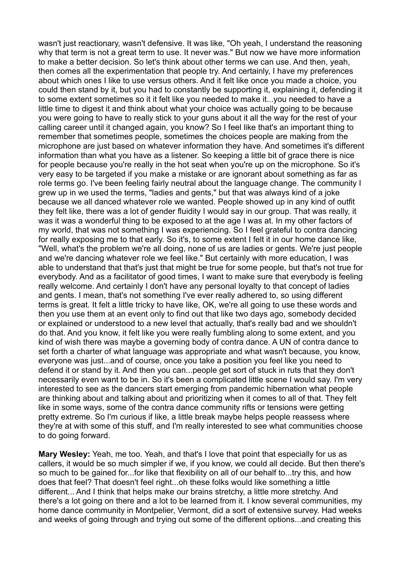wasn't just reactionary, wasn't defensive. It was like, "Oh yeah, I understand the reasoning why that term is not a great term to use. It never was." But now we have more information to make a better decision. So let's think about other terms we can use. And then, yeah, then comes all the experimentation that people try. And certainly, I have my preferences about which ones I like to use versus others. And it felt like once you made a choice, you could then stand by it, but you had to constantly be supporting it, explaining it, defending it to some extent sometimes so it it felt like you needed to make it...you needed to have a little time to digest it and think about what your choice was actually going to be because you were going to have to really stick to your guns about it all the way for the rest of your calling career until it changed again, you know? So I feel like that's an important thing to remember that sometimes people, sometimes the choices people are making from the microphone are just based on whatever information they have. And sometimes it's different information than what you have as a listener. So keeping a little bit of grace there is nice for people because you're really in the hot seat when you're up on the microphone. So it's very easy to be targeted if you make a mistake or are ignorant about something as far as role terms go. I've been feeling fairly neutral about the language change. The community I grew up in we used the terms, "ladies and gents," but that was always kind of a joke because we all danced whatever role we wanted. People showed up in any kind of outfit they felt like, there was a lot of gender fluidity I would say in our group. That was really, it was it was a wonderful thing to be exposed to at the age I was at. In my other factors of my world, that was not something I was experiencing. So I feel grateful to contra dancing for really exposing me to that early. So it's, to some extent I felt it in our home dance like, "Well, what's the problem we're all doing, none of us are ladies or gents. We're just people and we're dancing whatever role we feel like." But certainly with more education, I was able to understand that that's just that might be true for some people, but that's not true for everybody. And as a facilitator of good times, I want to make sure that everybody is feeling really welcome. And certainly I don't have any personal loyalty to that concept of ladies and gents. I mean, that's not something I've ever really adhered to, so using different terms is great. It felt a little tricky to have like, OK, we're all going to use these words and then you use them at an event only to find out that like two days ago, somebody decided or explained or understood to a new level that actually, that's really bad and we shouldn't do that. And you know, it felt like you were really fumbling along to some extent, and you kind of wish there was maybe a governing body of contra dance. A UN of contra dance to set forth a charter of what language was appropriate and what wasn't because, you know, everyone was just...and of course, once you take a position you feel like you need to defend it or stand by it. And then you can...people get sort of stuck in ruts that they don't necessarily even want to be in. So it's been a complicated little scene I would say. I'm very interested to see as the dancers start emerging from pandemic hibernation what people are thinking about and talking about and prioritizing when it comes to all of that. They felt like in some ways, some of the contra dance community rifts or tensions were getting pretty extreme. So I'm curious if like, a little break maybe helps people reassess where they're at with some of this stuff, and I'm really interested to see what communities choose to do going forward.

**Mary Wesley:** Yeah, me too. Yeah, and that's I love that point that especially for us as callers, it would be so much simpler if we, if you know, we could all decide. But then there's so much to be gained for...for like that flexibility on all of our behalf to...try this, and how does that feel? That doesn't feel right...oh these folks would like something a little different... And I think that helps make our brains stretchy, a little more stretchy. And there's a lot going on there and a lot to be learned from it. I know several communities, my home dance community in Montpelier, Vermont, did a sort of extensive survey. Had weeks and weeks of going through and trying out some of the different options...and creating this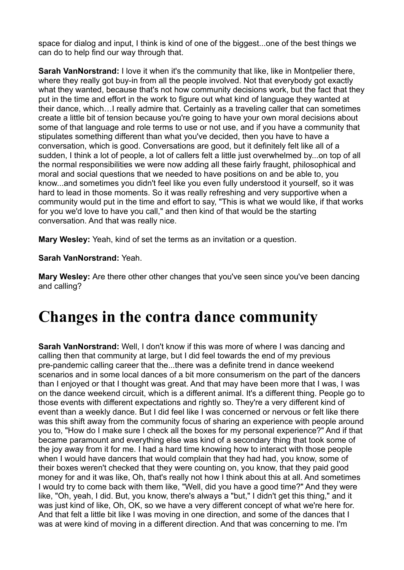space for dialog and input, I think is kind of one of the biggest...one of the best things we can do to help find our way through that.

**Sarah VanNorstrand:** I love it when it's the community that like, like in Montpelier there, where they really got buy-in from all the people involved. Not that everybody got exactly what they wanted, because that's not how community decisions work, but the fact that they put in the time and effort in the work to figure out what kind of language they wanted at their dance, which…I really admire that. Certainly as a traveling caller that can sometimes create a little bit of tension because you're going to have your own moral decisions about some of that language and role terms to use or not use, and if you have a community that stipulates something different than what you've decided, then you have to have a conversation, which is good. Conversations are good, but it definitely felt like all of a sudden, I think a lot of people, a lot of callers felt a little just overwhelmed by...on top of all the normal responsibilities we were now adding all these fairly fraught, philosophical and moral and social questions that we needed to have positions on and be able to, you know...and sometimes you didn't feel like you even fully understood it yourself, so it was hard to lead in those moments. So it was really refreshing and very supportive when a community would put in the time and effort to say, "This is what we would like, if that works for you we'd love to have you call," and then kind of that would be the starting conversation. And that was really nice.

**Mary Wesley:** Yeah, kind of set the terms as an invitation or a question.

**Sarah VanNorstrand:** Yeah.

**Mary Wesley:** Are there other other changes that you've seen since you've been dancing and calling?

### **Changes in the contra dance community**

**Sarah VanNorstrand:** Well, I don't know if this was more of where I was dancing and calling then that community at large, but I did feel towards the end of my previous pre-pandemic calling career that the...there was a definite trend in dance weekend scenarios and in some local dances of a bit more consumerism on the part of the dancers than I enjoyed or that I thought was great. And that may have been more that I was, I was on the dance weekend circuit, which is a different animal. It's a different thing. People go to those events with different expectations and rightly so. They're a very different kind of event than a weekly dance. But I did feel like I was concerned or nervous or felt like there was this shift away from the community focus of sharing an experience with people around you to, "How do I make sure I check all the boxes for my personal experience?" And if that became paramount and everything else was kind of a secondary thing that took some of the joy away from it for me. I had a hard time knowing how to interact with those people when I would have dancers that would complain that they had had, you know, some of their boxes weren't checked that they were counting on, you know, that they paid good money for and it was like, Oh, that's really not how I think about this at all. And sometimes I would try to come back with them like, "Well, did you have a good time?" And they were like, "Oh, yeah, I did. But, you know, there's always a "but," I didn't get this thing," and it was just kind of like, Oh, OK, so we have a very different concept of what we're here for. And that felt a little bit like I was moving in one direction, and some of the dances that I was at were kind of moving in a different direction. And that was concerning to me. I'm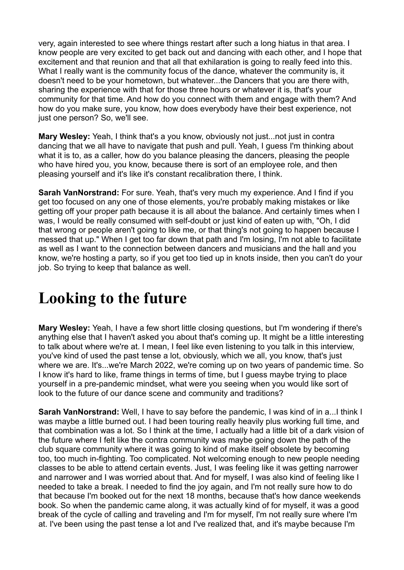very, again interested to see where things restart after such a long hiatus in that area. I know people are very excited to get back out and dancing with each other, and I hope that excitement and that reunion and that all that exhilaration is going to really feed into this. What I really want is the community focus of the dance, whatever the community is, it doesn't need to be your hometown, but whatever...the Dancers that you are there with, sharing the experience with that for those three hours or whatever it is, that's your community for that time. And how do you connect with them and engage with them? And how do you make sure, you know, how does everybody have their best experience, not just one person? So, we'll see.

**Mary Wesley:** Yeah, I think that's a you know, obviously not just...not just in contra dancing that we all have to navigate that push and pull. Yeah, I guess I'm thinking about what it is to, as a caller, how do you balance pleasing the dancers, pleasing the people who have hired you, you know, because there is sort of an employee role, and then pleasing yourself and it's like it's constant recalibration there, I think.

**Sarah VanNorstrand:** For sure. Yeah, that's very much my experience. And I find if you get too focused on any one of those elements, you're probably making mistakes or like getting off your proper path because it is all about the balance. And certainly times when I was, I would be really consumed with self-doubt or just kind of eaten up with, "Oh, I did that wrong or people aren't going to like me, or that thing's not going to happen because I messed that up." When I get too far down that path and I'm losing, I'm not able to facilitate as well as I want to the connection between dancers and musicians and the hall and you know, we're hosting a party, so if you get too tied up in knots inside, then you can't do your job. So trying to keep that balance as well.

## **Looking to the future**

**Mary Wesley:** Yeah, I have a few short little closing questions, but I'm wondering if there's anything else that I haven't asked you about that's coming up. It might be a little interesting to talk about where we're at. I mean, I feel like even listening to you talk in this interview, you've kind of used the past tense a lot, obviously, which we all, you know, that's just where we are. It's...we're March 2022, we're coming up on two years of pandemic time. So I know it's hard to like, frame things in terms of time, but I guess maybe trying to place yourself in a pre-pandemic mindset, what were you seeing when you would like sort of look to the future of our dance scene and community and traditions?

**Sarah VanNorstrand:** Well, I have to say before the pandemic, I was kind of in a...I think I was maybe a little burned out. I had been touring really heavily plus working full time, and that combination was a lot. So I think at the time, I actually had a little bit of a dark vision of the future where I felt like the contra community was maybe going down the path of the club square community where it was going to kind of make itself obsolete by becoming too, too much in-fighting. Too complicated. Not welcoming enough to new people needing classes to be able to attend certain events. Just, I was feeling like it was getting narrower and narrower and I was worried about that. And for myself, I was also kind of feeling like I needed to take a break. I needed to find the joy again, and I'm not really sure how to do that because I'm booked out for the next 18 months, because that's how dance weekends book. So when the pandemic came along, it was actually kind of for myself, it was a good break of the cycle of calling and traveling and I'm for myself, I'm not really sure where I'm at. I've been using the past tense a lot and I've realized that, and it's maybe because I'm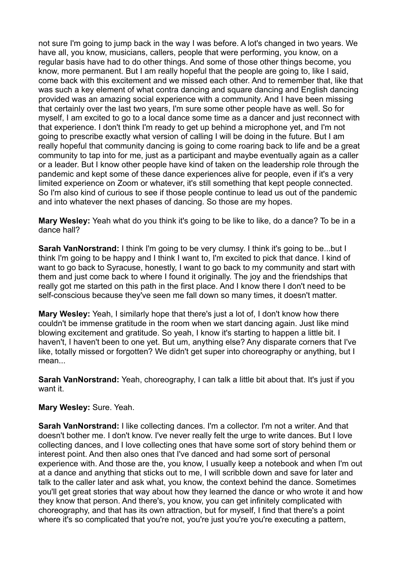not sure I'm going to jump back in the way I was before. A lot's changed in two years. We have all, you know, musicians, callers, people that were performing, you know, on a regular basis have had to do other things. And some of those other things become, you know, more permanent. But I am really hopeful that the people are going to, like I said, come back with this excitement and we missed each other. And to remember that, like that was such a key element of what contra dancing and square dancing and English dancing provided was an amazing social experience with a community. And I have been missing that certainly over the last two years, I'm sure some other people have as well. So for myself, I am excited to go to a local dance some time as a dancer and just reconnect with that experience. I don't think I'm ready to get up behind a microphone yet, and I'm not going to prescribe exactly what version of calling I will be doing in the future. But I am really hopeful that community dancing is going to come roaring back to life and be a great community to tap into for me, just as a participant and maybe eventually again as a caller or a leader. But I know other people have kind of taken on the leadership role through the pandemic and kept some of these dance experiences alive for people, even if it's a very limited experience on Zoom or whatever, it's still something that kept people connected. So I'm also kind of curious to see if those people continue to lead us out of the pandemic and into whatever the next phases of dancing. So those are my hopes.

**Mary Wesley:** Yeah what do you think it's going to be like to like, do a dance? To be in a dance hall?

**Sarah VanNorstrand:** I think I'm going to be very clumsy. I think it's going to be...but I think I'm going to be happy and I think I want to, I'm excited to pick that dance. I kind of want to go back to Syracuse, honestly, I want to go back to my community and start with them and just come back to where I found it originally. The joy and the friendships that really got me started on this path in the first place. And I know there I don't need to be self-conscious because they've seen me fall down so many times, it doesn't matter.

**Mary Wesley:** Yeah, I similarly hope that there's just a lot of, I don't know how there couldn't be immense gratitude in the room when we start dancing again. Just like mind blowing excitement and gratitude. So yeah, I know it's starting to happen a little bit. I haven't, I haven't been to one yet. But um, anything else? Any disparate corners that I've like, totally missed or forgotten? We didn't get super into choreography or anything, but I mean

**Sarah VanNorstrand:** Yeah, choreography, I can talk a little bit about that. It's just if you want it.

### **Mary Wesley:** Sure. Yeah.

**Sarah VanNorstrand:** I like collecting dances. I'm a collector. I'm not a writer. And that doesn't bother me. I don't know. I've never really felt the urge to write dances. But I love collecting dances, and I love collecting ones that have some sort of story behind them or interest point. And then also ones that I've danced and had some sort of personal experience with. And those are the, you know, I usually keep a notebook and when I'm out at a dance and anything that sticks out to me, I will scribble down and save for later and talk to the caller later and ask what, you know, the context behind the dance. Sometimes you'll get great stories that way about how they learned the dance or who wrote it and how they know that person. And there's, you know, you can get infinitely complicated with choreography, and that has its own attraction, but for myself, I find that there's a point where it's so complicated that you're not, you're just you're you're executing a pattern,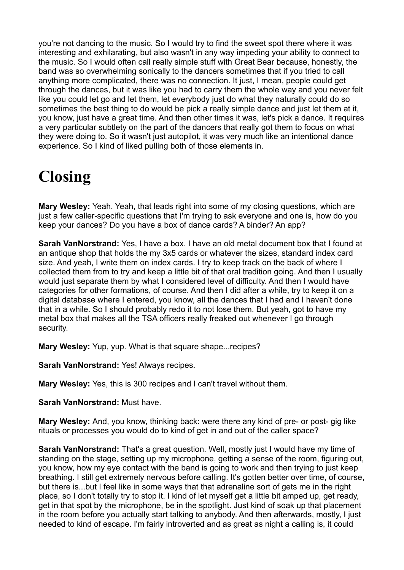you're not dancing to the music. So I would try to find the sweet spot there where it was interesting and exhilarating, but also wasn't in any way impeding your ability to connect to the music. So I would often call really simple stuff with Great Bear because, honestly, the band was so overwhelming sonically to the dancers sometimes that if you tried to call anything more complicated, there was no connection. It just, I mean, people could get through the dances, but it was like you had to carry them the whole way and you never felt like you could let go and let them, let everybody just do what they naturally could do so sometimes the best thing to do would be pick a really simple dance and just let them at it, you know, just have a great time. And then other times it was, let's pick a dance. It requires a very particular subtlety on the part of the dancers that really got them to focus on what they were doing to. So it wasn't just autopilot, it was very much like an intentional dance experience. So I kind of liked pulling both of those elements in.

# **Closing**

**Mary Wesley:** Yeah. Yeah, that leads right into some of my closing questions, which are just a few caller-specific questions that I'm trying to ask everyone and one is, how do you keep your dances? Do you have a box of dance cards? A binder? An app?

**Sarah VanNorstrand:** Yes, I have a box. I have an old metal document box that I found at an antique shop that holds the my 3x5 cards or whatever the sizes, standard index card size. And yeah, I write them on index cards. I try to keep track on the back of where I collected them from to try and keep a little bit of that oral tradition going. And then I usually would just separate them by what I considered level of difficulty. And then I would have categories for other formations, of course. And then I did after a while, try to keep it on a digital database where I entered, you know, all the dances that I had and I haven't done that in a while. So I should probably redo it to not lose them. But yeah, got to have my metal box that makes all the TSA officers really freaked out whenever I go through security.

**Mary Wesley:** Yup, yup. What is that square shape...recipes?

**Sarah VanNorstrand:** Yes! Always recipes.

**Mary Wesley:** Yes, this is 300 recipes and I can't travel without them.

**Sarah VanNorstrand:** Must have.

**Mary Wesley:** And, you know, thinking back: were there any kind of pre- or post- gig like rituals or processes you would do to kind of get in and out of the caller space?

**Sarah VanNorstrand:** That's a great question. Well, mostly just I would have my time of standing on the stage, setting up my microphone, getting a sense of the room, figuring out, you know, how my eye contact with the band is going to work and then trying to just keep breathing. I still get extremely nervous before calling. It's gotten better over time, of course, but there is...but I feel like in some ways that that adrenaline sort of gets me in the right place, so I don't totally try to stop it. I kind of let myself get a little bit amped up, get ready, get in that spot by the microphone, be in the spotlight. Just kind of soak up that placement in the room before you actually start talking to anybody. And then afterwards, mostly, I just needed to kind of escape. I'm fairly introverted and as great as night a calling is, it could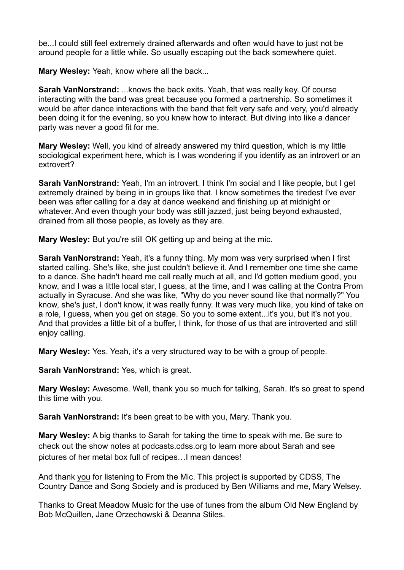be...I could still feel extremely drained afterwards and often would have to just not be around people for a little while. So usually escaping out the back somewhere quiet.

**Mary Wesley:** Yeah, know where all the back...

**Sarah VanNorstrand:** ...knows the back exits. Yeah, that was really key. Of course interacting with the band was great because you formed a partnership. So sometimes it would be after dance interactions with the band that felt very safe and very, you'd already been doing it for the evening, so you knew how to interact. But diving into like a dancer party was never a good fit for me.

**Mary Wesley:** Well, you kind of already answered my third question, which is my little sociological experiment here, which is I was wondering if you identify as an introvert or an extrovert?

**Sarah VanNorstrand:** Yeah, I'm an introvert. I think I'm social and I like people, but I get extremely drained by being in in groups like that. I know sometimes the tiredest I've ever been was after calling for a day at dance weekend and finishing up at midnight or whatever. And even though your body was still jazzed, just being beyond exhausted, drained from all those people, as lovely as they are.

**Mary Wesley:** But you're still OK getting up and being at the mic.

**Sarah VanNorstrand:** Yeah, it's a funny thing. My mom was very surprised when I first started calling. She's like, she just couldn't believe it. And I remember one time she came to a dance. She hadn't heard me call really much at all, and I'd gotten medium good, you know, and I was a little local star, I guess, at the time, and I was calling at the Contra Prom actually in Syracuse. And she was like, "Why do you never sound like that normally?" You know, she's just, I don't know, it was really funny. It was very much like, you kind of take on a role, I guess, when you get on stage. So you to some extent...it's you, but it's not you. And that provides a little bit of a buffer, I think, for those of us that are introverted and still enjoy calling.

**Mary Wesley:** Yes. Yeah, it's a very structured way to be with a group of people.

**Sarah VanNorstrand:** Yes, which is great.

**Mary Wesley:** Awesome. Well, thank you so much for talking, Sarah. It's so great to spend this time with you.

**Sarah VanNorstrand:** It's been great to be with you, Mary. Thank you.

**Mary Wesley:** A big thanks to Sarah for taking the time to speak with me. Be sure to check out the show notes at podcasts.cdss.org to learn more about Sarah and see pictures of her metal box full of recipes…I mean dances!

And thank you for listening to From the Mic. This project is supported by CDSS, The Country Dance and Song Society and is produced by Ben Williams and me, Mary Welsey.

Thanks to Great Meadow Music for the use of tunes from the album Old New England by Bob McQuillen, Jane Orzechowski & Deanna Stiles.